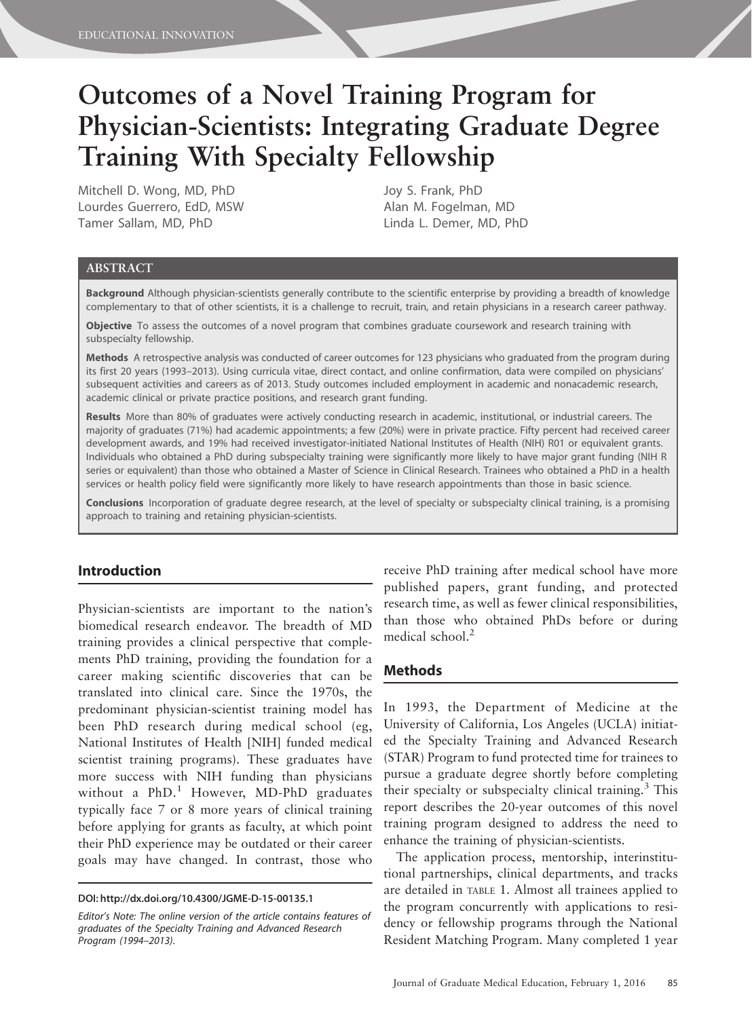# Outcomes of a Novel Training Program for Physician-Scientists: Integrating Graduate Degree Training With Specialty Fellowship

Mitchell D. Wong, MD, PhD Lourdes Guerrero, EdD, MSW Tamer Sallam, MD, PhD

Joy S. Frank, PhD Alan M. Fogelman, MD Linda L. Demer, MD, PhD

#### ABSTRACT

Background Although physician-scientists generally contribute to the scientific enterprise by providing a breadth of knowledge complementary to that of other scientists, it is a challenge to recruit, train, and retain physicians in a research career pathway.

Objective To assess the outcomes of a novel program that combines graduate coursework and research training with subspecialty fellowship.

Methods A retrospective analysis was conducted of career outcomes for 123 physicians who graduated from the program during its first 20 years (1993–2013). Using curricula vitae, direct contact, and online confirmation, data were compiled on physicians' subsequent activities and careers as of 2013. Study outcomes included employment in academic and nonacademic research, academic clinical or private practice positions, and research grant funding.

Results More than 80% of graduates were actively conducting research in academic, institutional, or industrial careers. The majority of graduates (71%) had academic appointments; a few (20%) were in private practice. Fifty percent had received career development awards, and 19% had received investigator-initiated National Institutes of Health (NIH) R01 or equivalent grants. Individuals who obtained a PhD during subspecialty training were significantly more likely to have major grant funding (NIH R series or equivalent) than those who obtained a Master of Science in Clinical Research. Trainees who obtained a PhD in a health services or health policy field were significantly more likely to have research appointments than those in basic science.

Conclusions Incorporation of graduate degree research, at the level of specialty or subspecialty clinical training, is a promising approach to training and retaining physician-scientists.

# Introduction

Physician-scientists are important to the nation's biomedical research endeavor. The breadth of MD training provides a clinical perspective that complements PhD training, providing the foundation for a career making scientific discoveries that can be translated into clinical care. Since the 1970s, the predominant physician-scientist training model has been PhD research during medical school (eg, National Institutes of Health [NIH] funded medical scientist training programs). These graduates have more success with NIH funding than physicians without a PhD.<sup>1</sup> However, MD-PhD graduates typically face 7 or 8 more years of clinical training before applying for grants as faculty, at which point their PhD experience may be outdated or their career goals may have changed. In contrast, those who

DOI: http://dx.doi.org/10.4300/JGME-D-15-00135.1

Editor's Note: The online version of the article contains features of graduates of the Specialty Training and Advanced Research Program (1994–2013).

receive PhD training after medical school have more published papers, grant funding, and protected research time, as well as fewer clinical responsibilities, than those who obtained PhDs before or during medical school.<sup>2</sup>

## Methods

In 1993, the Department of Medicine at the University of California, Los Angeles (UCLA) initiated the Specialty Training and Advanced Research (STAR) Program to fund protected time for trainees to pursue a graduate degree shortly before completing their specialty or subspecialty clinical training.<sup>3</sup> This report describes the 20-year outcomes of this novel training program designed to address the need to enhance the training of physician-scientists.

The application process, mentorship, interinstitutional partnerships, clinical departments, and tracks are detailed in TABLE 1. Almost all trainees applied to the program concurrently with applications to residency or fellowship programs through the National Resident Matching Program. Many completed 1 year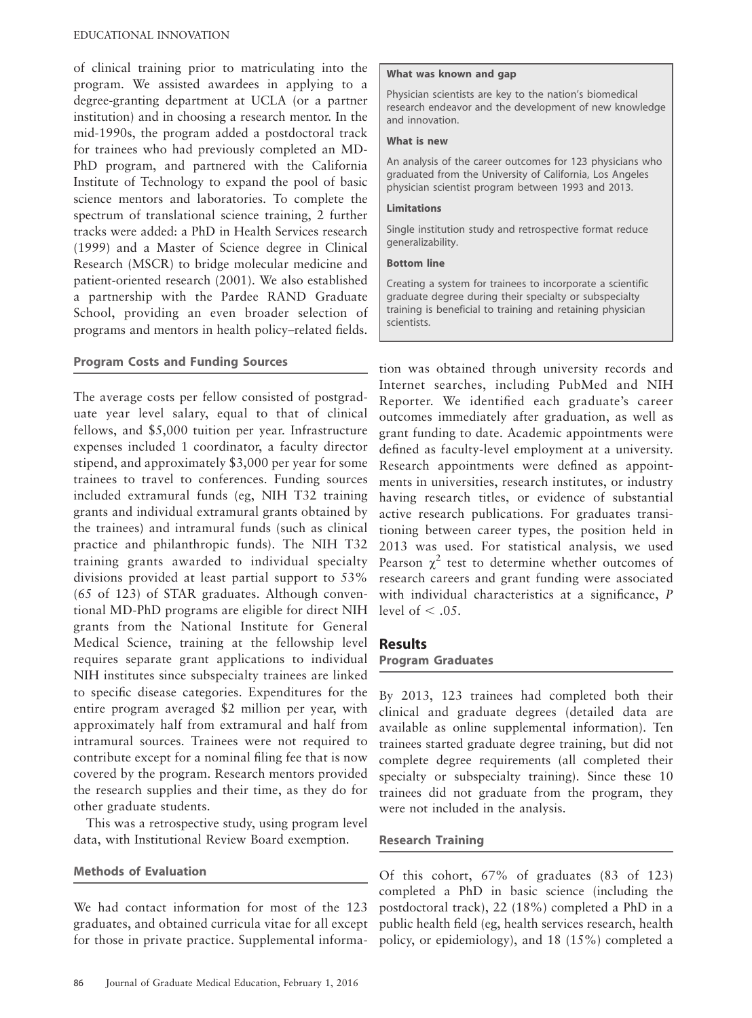of clinical training prior to matriculating into the program. We assisted awardees in applying to a degree-granting department at UCLA (or a partner institution) and in choosing a research mentor. In the mid-1990s, the program added a postdoctoral track for trainees who had previously completed an MD-PhD program, and partnered with the California Institute of Technology to expand the pool of basic science mentors and laboratories. To complete the spectrum of translational science training, 2 further tracks were added: a PhD in Health Services research (1999) and a Master of Science degree in Clinical Research (MSCR) to bridge molecular medicine and patient-oriented research (2001). We also established a partnership with the Pardee RAND Graduate School, providing an even broader selection of programs and mentors in health policy–related fields.

# Program Costs and Funding Sources

The average costs per fellow consisted of postgraduate year level salary, equal to that of clinical fellows, and \$5,000 tuition per year. Infrastructure expenses included 1 coordinator, a faculty director stipend, and approximately \$3,000 per year for some trainees to travel to conferences. Funding sources included extramural funds (eg, NIH T32 training grants and individual extramural grants obtained by the trainees) and intramural funds (such as clinical practice and philanthropic funds). The NIH T32 training grants awarded to individual specialty divisions provided at least partial support to 53% (65 of 123) of STAR graduates. Although conventional MD-PhD programs are eligible for direct NIH grants from the National Institute for General Medical Science, training at the fellowship level requires separate grant applications to individual NIH institutes since subspecialty trainees are linked to specific disease categories. Expenditures for the entire program averaged \$2 million per year, with approximately half from extramural and half from intramural sources. Trainees were not required to contribute except for a nominal filing fee that is now covered by the program. Research mentors provided the research supplies and their time, as they do for other graduate students.

This was a retrospective study, using program level data, with Institutional Review Board exemption.

## Methods of Evaluation

We had contact information for most of the 123 graduates, and obtained curricula vitae for all except for those in private practice. Supplemental informa-

#### What was known and gap

Physician scientists are key to the nation's biomedical research endeavor and the development of new knowledge and innovation.

#### What is new

An analysis of the career outcomes for 123 physicians who graduated from the University of California, Los Angeles physician scientist program between 1993 and 2013.

#### Limitations

Single institution study and retrospective format reduce generalizability.

#### Bottom line

Creating a system for trainees to incorporate a scientific graduate degree during their specialty or subspecialty training is beneficial to training and retaining physician scientists.

tion was obtained through university records and Internet searches, including PubMed and NIH Reporter. We identified each graduate's career outcomes immediately after graduation, as well as grant funding to date. Academic appointments were defined as faculty-level employment at a university. Research appointments were defined as appointments in universities, research institutes, or industry having research titles, or evidence of substantial active research publications. For graduates transitioning between career types, the position held in 2013 was used. For statistical analysis, we used Pearson  $\chi^2$  test to determine whether outcomes of research careers and grant funding were associated with individual characteristics at a significance, P level of  $< .05$ .

# Results

#### Program Graduates

By 2013, 123 trainees had completed both their clinical and graduate degrees (detailed data are available as online supplemental information). Ten trainees started graduate degree training, but did not complete degree requirements (all completed their specialty or subspecialty training). Since these 10 trainees did not graduate from the program, they were not included in the analysis.

## Research Training

Of this cohort, 67% of graduates (83 of 123) completed a PhD in basic science (including the postdoctoral track), 22 (18%) completed a PhD in a public health field (eg, health services research, health policy, or epidemiology), and 18 (15%) completed a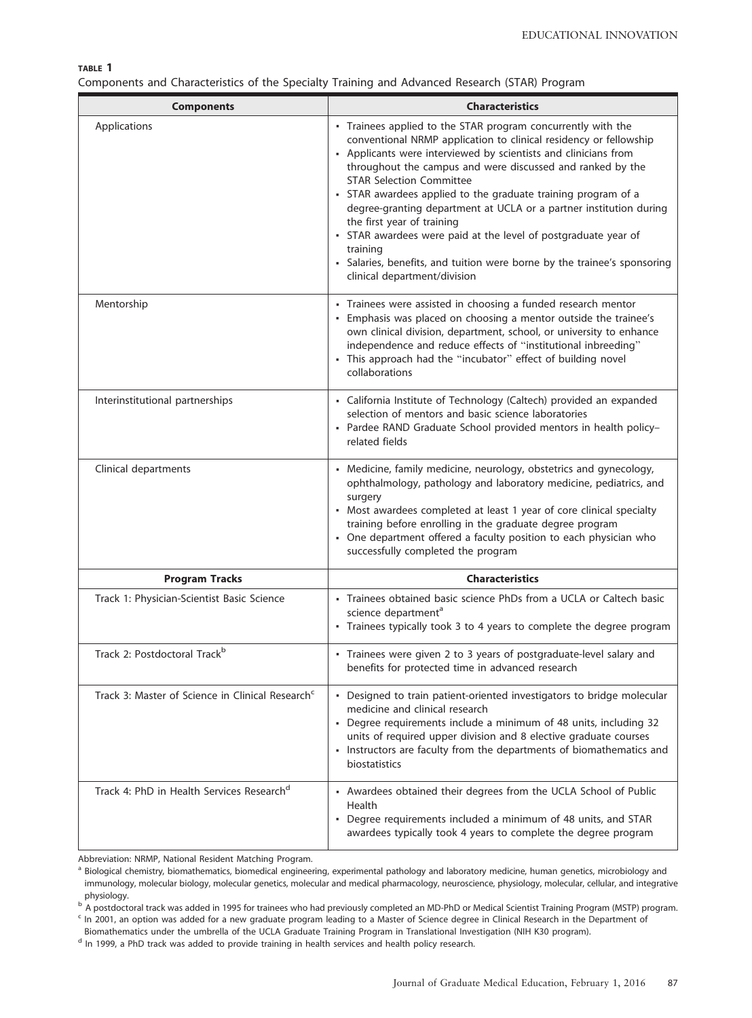TABLE 1

| Components and Characteristics of the Specialty Training and Advanced Research (STAR) Program |  |  |  |  |  |  |  |  |  |
|-----------------------------------------------------------------------------------------------|--|--|--|--|--|--|--|--|--|
|-----------------------------------------------------------------------------------------------|--|--|--|--|--|--|--|--|--|

| <b>Components</b>                                            | <b>Characteristics</b>                                                                                                                                                                                                                                                                                                                                                                                                                                                                                                                                                                                                                                               |  |  |  |  |  |
|--------------------------------------------------------------|----------------------------------------------------------------------------------------------------------------------------------------------------------------------------------------------------------------------------------------------------------------------------------------------------------------------------------------------------------------------------------------------------------------------------------------------------------------------------------------------------------------------------------------------------------------------------------------------------------------------------------------------------------------------|--|--|--|--|--|
| Applications                                                 | - Trainees applied to the STAR program concurrently with the<br>conventional NRMP application to clinical residency or fellowship<br>- Applicants were interviewed by scientists and clinicians from<br>throughout the campus and were discussed and ranked by the<br><b>STAR Selection Committee</b><br>• STAR awardees applied to the graduate training program of a<br>degree-granting department at UCLA or a partner institution during<br>the first year of training<br>• STAR awardees were paid at the level of postgraduate year of<br>training<br>· Salaries, benefits, and tuition were borne by the trainee's sponsoring<br>clinical department/division |  |  |  |  |  |
| Mentorship                                                   | • Trainees were assisted in choosing a funded research mentor<br>· Emphasis was placed on choosing a mentor outside the trainee's<br>own clinical division, department, school, or university to enhance<br>independence and reduce effects of "institutional inbreeding"<br>• This approach had the "incubator" effect of building novel<br>collaborations                                                                                                                                                                                                                                                                                                          |  |  |  |  |  |
| Interinstitutional partnerships                              | - California Institute of Technology (Caltech) provided an expanded<br>selection of mentors and basic science laboratories<br>- Pardee RAND Graduate School provided mentors in health policy-<br>related fields                                                                                                                                                                                                                                                                                                                                                                                                                                                     |  |  |  |  |  |
| Clinical departments                                         | • Medicine, family medicine, neurology, obstetrics and gynecology,<br>ophthalmology, pathology and laboratory medicine, pediatrics, and<br>surgery<br>• Most awardees completed at least 1 year of core clinical specialty<br>training before enrolling in the graduate degree program<br>• One department offered a faculty position to each physician who<br>successfully completed the program                                                                                                                                                                                                                                                                    |  |  |  |  |  |
| <b>Program Tracks</b>                                        | <b>Characteristics</b>                                                                                                                                                                                                                                                                                                                                                                                                                                                                                                                                                                                                                                               |  |  |  |  |  |
| Track 1: Physician-Scientist Basic Science                   | - Trainees obtained basic science PhDs from a UCLA or Caltech basic<br>science department <sup>a</sup><br>- Trainees typically took 3 to 4 years to complete the degree program                                                                                                                                                                                                                                                                                                                                                                                                                                                                                      |  |  |  |  |  |
| Track 2: Postdoctoral Track <sup>b</sup>                     | • Trainees were given 2 to 3 years of postgraduate-level salary and<br>benefits for protected time in advanced research                                                                                                                                                                                                                                                                                                                                                                                                                                                                                                                                              |  |  |  |  |  |
| Track 3: Master of Science in Clinical Research <sup>c</sup> | - Designed to train patient-oriented investigators to bridge molecular<br>medicine and clinical research<br>• Degree requirements include a minimum of 48 units, including 32<br>units of required upper division and 8 elective graduate courses<br>• Instructors are faculty from the departments of biomathematics and<br>biostatistics                                                                                                                                                                                                                                                                                                                           |  |  |  |  |  |
| Track 4: PhD in Health Services Research <sup>d</sup>        | - Awardees obtained their degrees from the UCLA School of Public<br>Health<br>• Degree requirements included a minimum of 48 units, and STAR<br>awardees typically took 4 years to complete the degree program                                                                                                                                                                                                                                                                                                                                                                                                                                                       |  |  |  |  |  |

Abbreviation: NRMP, National Resident Matching Program.

<sup>a</sup> Biological chemistry, biomathematics, biomedical engineering, experimental pathology and laboratory medicine, human genetics, microbiology and immunology, molecular biology, molecular genetics, molecular and medical pharmacology, neuroscience, physiology, molecular, cellular, and integrative physiology.

<sup>b</sup> A postdoctoral track was added in 1995 for trainees who had previously completed an MD-PhD or Medical Scientist Training Program (MSTP) program.

<sup>c</sup> In 2001, an option was added for a new graduate program leading to a Master of Science degree in Clinical Research in the Department of Biomathematics under the umbrella of the UCLA Graduate Training Program in Translational Investigation (NIH K30 program).

<sup>d</sup> In 1999, a PhD track was added to provide training in health services and health policy research.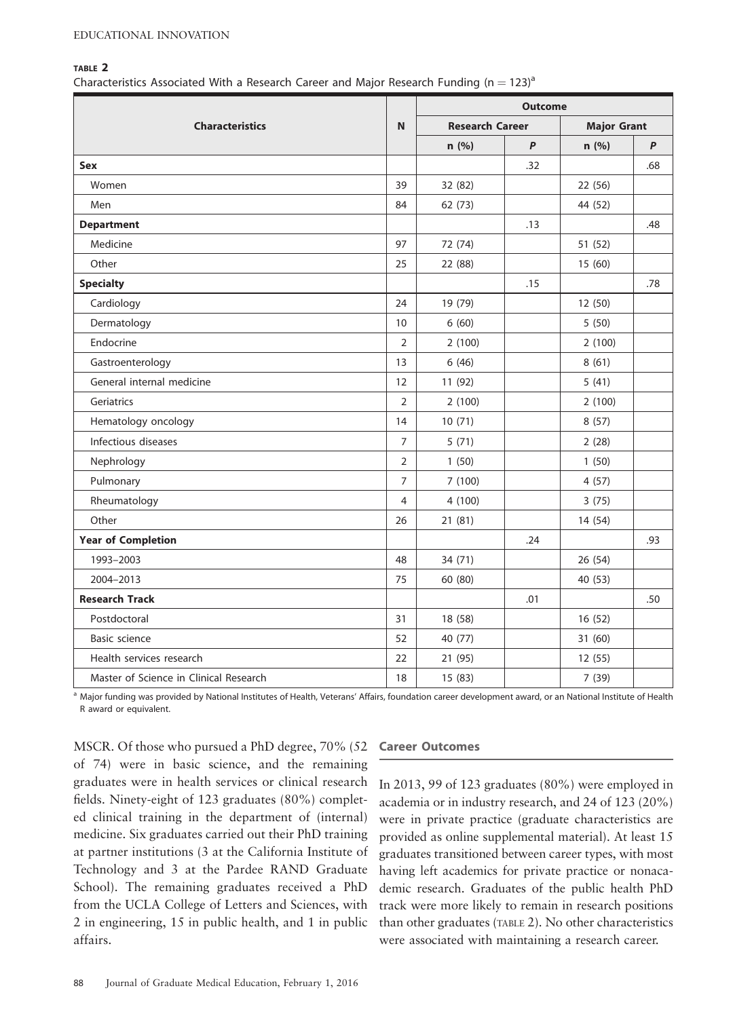#### TABLE 2

Characteristics Associated With a Research Career and Major Research Funding (n = 123)<sup>a</sup>

| <b>Characteristics</b>                 |                | <b>Outcome</b>         |     |                    |     |  |
|----------------------------------------|----------------|------------------------|-----|--------------------|-----|--|
|                                        |                | <b>Research Career</b> |     | <b>Major Grant</b> |     |  |
|                                        |                | n (%)                  | P   | n (%)              | P   |  |
| Sex                                    |                |                        | .32 |                    | .68 |  |
| Women                                  | 39             | 32 (82)                |     | 22 (56)            |     |  |
| Men                                    | 84             | 62 (73)                |     | 44 (52)            |     |  |
| <b>Department</b>                      |                |                        | .13 |                    | .48 |  |
| Medicine                               | 97             | 72 (74)                |     | 51 (52)            |     |  |
| Other                                  | 25             | 22 (88)                |     | 15 (60)            |     |  |
| <b>Specialty</b>                       |                |                        | .15 |                    | .78 |  |
| Cardiology                             | 24             | 19 (79)                |     | 12 (50)            |     |  |
| Dermatology                            | 10             | 6(60)                  |     | 5(50)              |     |  |
| Endocrine                              | $\overline{2}$ | 2(100)                 |     | 2(100)             |     |  |
| Gastroenterology                       | 13             | 6(46)                  |     | 8(61)              |     |  |
| General internal medicine              | 12             | 11 (92)                |     | 5(41)              |     |  |
| Geriatrics                             | $\overline{2}$ | 2(100)                 |     | 2(100)             |     |  |
| Hematology oncology                    | 14             | 10(71)                 |     | 8(57)              |     |  |
| Infectious diseases                    | $\overline{7}$ | 5(71)                  |     | 2(28)              |     |  |
| Nephrology                             | $\overline{2}$ | 1(50)                  |     | 1(50)              |     |  |
| Pulmonary                              | $\overline{7}$ | 7(100)                 |     | 4(57)              |     |  |
| Rheumatology                           | $\overline{4}$ | 4(100)                 |     | 3(75)              |     |  |
| Other                                  | 26             | 21 (81)                |     | 14 (54)            |     |  |
| <b>Year of Completion</b>              |                |                        | .24 |                    | .93 |  |
| 1993-2003                              | 48             | 34 (71)                |     | 26 (54)            |     |  |
| 2004-2013                              | 75             | 60 (80)                |     | 40 (53)            |     |  |
| <b>Research Track</b>                  |                |                        | .01 |                    | .50 |  |
| Postdoctoral                           | 31             | 18 (58)                |     | 16 (52)            |     |  |
| <b>Basic science</b>                   | 52             | 40 (77)                |     | 31 (60)            |     |  |
| Health services research               |                | 21 (95)                |     | 12(55)             |     |  |
| Master of Science in Clinical Research |                | 15 (83)                |     | 7 (39)             |     |  |

a Major funding was provided by National Institutes of Health, Veterans' Affairs, foundation career development award, or an National Institute of Health R award or equivalent.

MSCR. Of those who pursued a PhD degree, 70% (52 of 74) were in basic science, and the remaining graduates were in health services or clinical research fields. Ninety-eight of 123 graduates (80%) completed clinical training in the department of (internal) medicine. Six graduates carried out their PhD training at partner institutions (3 at the California Institute of Technology and 3 at the Pardee RAND Graduate School). The remaining graduates received a PhD from the UCLA College of Letters and Sciences, with 2 in engineering, 15 in public health, and 1 in public affairs.

#### Career Outcomes

In 2013, 99 of 123 graduates (80%) were employed in academia or in industry research, and 24 of 123 (20%) were in private practice (graduate characteristics are provided as online supplemental material). At least 15 graduates transitioned between career types, with most having left academics for private practice or nonacademic research. Graduates of the public health PhD track were more likely to remain in research positions than other graduates (TABLE 2). No other characteristics were associated with maintaining a research career.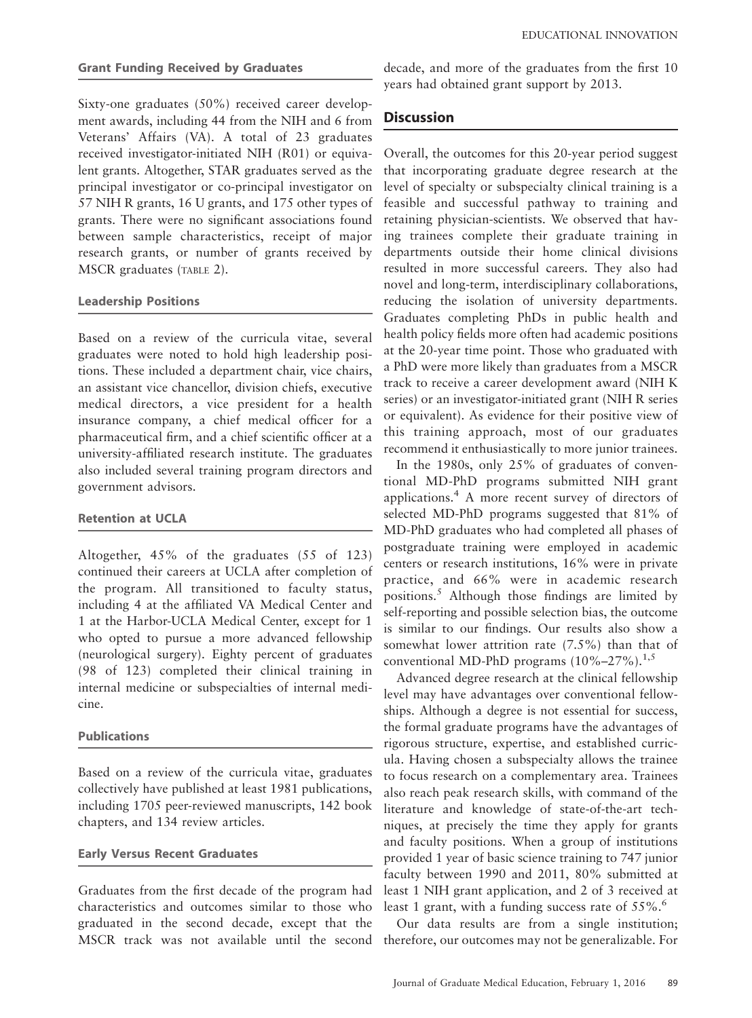#### Grant Funding Received by Graduates

Sixty-one graduates (50%) received career development awards, including 44 from the NIH and 6 from Veterans' Affairs (VA). A total of 23 graduates received investigator-initiated NIH (R01) or equivalent grants. Altogether, STAR graduates served as the principal investigator or co-principal investigator on 57 NIH R grants, 16 U grants, and 175 other types of grants. There were no significant associations found between sample characteristics, receipt of major research grants, or number of grants received by MSCR graduates (TABLE 2).

## Leadership Positions

Based on a review of the curricula vitae, several graduates were noted to hold high leadership positions. These included a department chair, vice chairs, an assistant vice chancellor, division chiefs, executive medical directors, a vice president for a health insurance company, a chief medical officer for a pharmaceutical firm, and a chief scientific officer at a university-affiliated research institute. The graduates also included several training program directors and government advisors.

#### Retention at UCLA

Altogether, 45% of the graduates (55 of 123) continued their careers at UCLA after completion of the program. All transitioned to faculty status, including 4 at the affiliated VA Medical Center and 1 at the Harbor-UCLA Medical Center, except for 1 who opted to pursue a more advanced fellowship (neurological surgery). Eighty percent of graduates (98 of 123) completed their clinical training in internal medicine or subspecialties of internal medicine.

#### Publications

Based on a review of the curricula vitae, graduates collectively have published at least 1981 publications, including 1705 peer-reviewed manuscripts, 142 book chapters, and 134 review articles.

## Early Versus Recent Graduates

Graduates from the first decade of the program had characteristics and outcomes similar to those who graduated in the second decade, except that the MSCR track was not available until the second therefore, our outcomes may not be generalizable. For

decade, and more of the graduates from the first 10 years had obtained grant support by 2013.

# **Discussion**

Overall, the outcomes for this 20-year period suggest that incorporating graduate degree research at the level of specialty or subspecialty clinical training is a feasible and successful pathway to training and retaining physician-scientists. We observed that having trainees complete their graduate training in departments outside their home clinical divisions resulted in more successful careers. They also had novel and long-term, interdisciplinary collaborations, reducing the isolation of university departments. Graduates completing PhDs in public health and health policy fields more often had academic positions at the 20-year time point. Those who graduated with a PhD were more likely than graduates from a MSCR track to receive a career development award (NIH K series) or an investigator-initiated grant (NIH R series or equivalent). As evidence for their positive view of this training approach, most of our graduates recommend it enthusiastically to more junior trainees.

In the 1980s, only 25% of graduates of conventional MD-PhD programs submitted NIH grant applications.<sup>4</sup> A more recent survey of directors of selected MD-PhD programs suggested that 81% of MD-PhD graduates who had completed all phases of postgraduate training were employed in academic centers or research institutions, 16% were in private practice, and 66% were in academic research positions.<sup>5</sup> Although those findings are limited by self-reporting and possible selection bias, the outcome is similar to our findings. Our results also show a somewhat lower attrition rate (7.5%) than that of conventional MD-PhD programs  $(10\% - 27\%)$ .<sup>1,5</sup>

Advanced degree research at the clinical fellowship level may have advantages over conventional fellowships. Although a degree is not essential for success, the formal graduate programs have the advantages of rigorous structure, expertise, and established curricula. Having chosen a subspecialty allows the trainee to focus research on a complementary area. Trainees also reach peak research skills, with command of the literature and knowledge of state-of-the-art techniques, at precisely the time they apply for grants and faculty positions. When a group of institutions provided 1 year of basic science training to 747 junior faculty between 1990 and 2011, 80% submitted at least 1 NIH grant application, and 2 of 3 received at least 1 grant, with a funding success rate of  $55\%$ .<sup>6</sup>

Our data results are from a single institution;